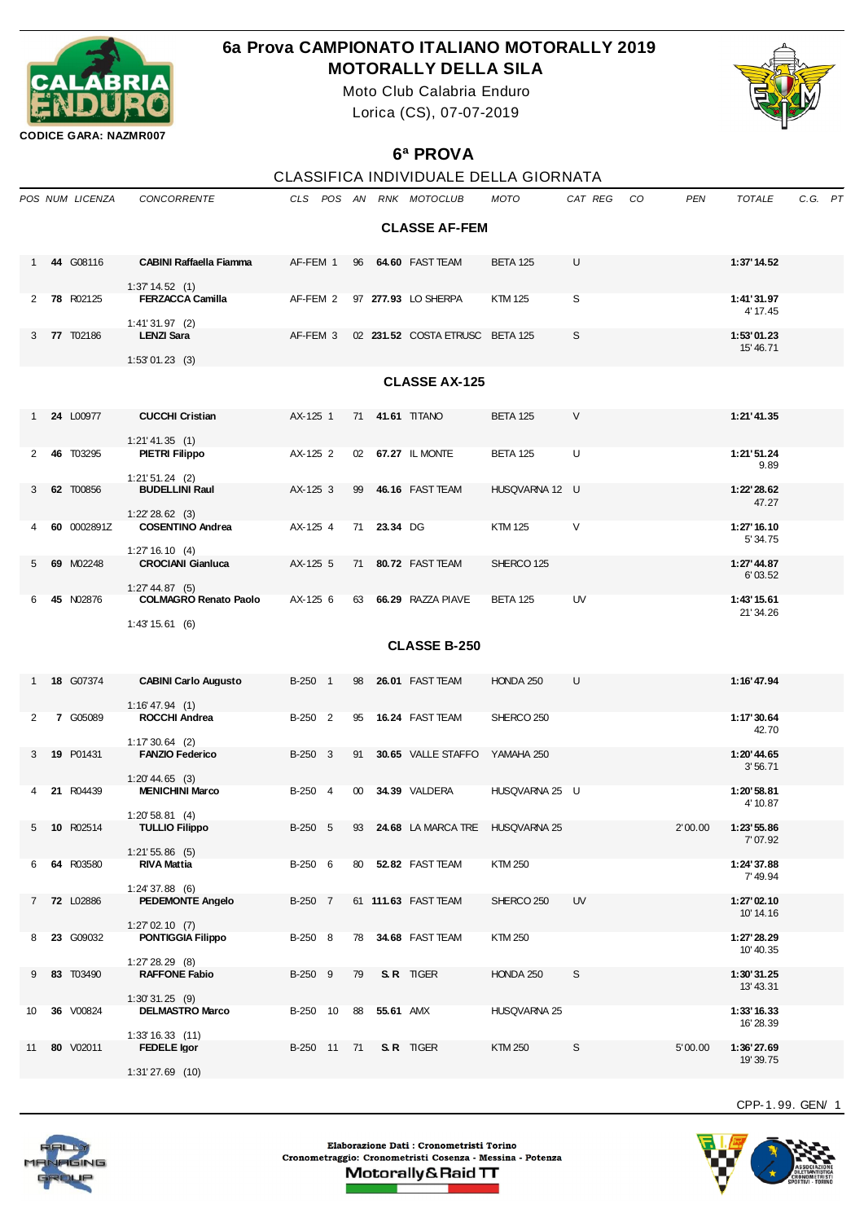

## **6a Prova CAMPIONATO ITALIANO MOTORALLY 2019 MOTORALLY DELLA SILA**

Moto Club Calabria Enduro Lorica (CS), 07-07-2019



**CODICE GARA: NAZMR007**

## **6ª PROVA**

|                 |                      |                  |                                                   |             |                 |             |                                 | CLASSIFICA INDIVIDUALE DELLA GIORNATA |         |    |         |                          |             |  |
|-----------------|----------------------|------------------|---------------------------------------------------|-------------|-----------------|-------------|---------------------------------|---------------------------------------|---------|----|---------|--------------------------|-------------|--|
|                 |                      | POS NUM LICENZA  | <b>CONCORRENTE</b>                                |             |                 |             | CLS POS AN RNK MOTOCLUB         | <b>MOTO</b>                           | CAT REG | CO | PEN     | <b>TOTALE</b>            | $C.G.$ $PT$ |  |
|                 |                      |                  |                                                   |             |                 |             | <b>CLASSE AF-FEM</b>            |                                       |         |    |         |                          |             |  |
| 1               |                      | 44 G08116        | <b>CABINI Raffaella Fiamma</b>                    | AF-FEM 1    | 96              |             | 64.60 FAST TEAM                 | <b>BETA 125</b>                       | U       |    |         | 1:37' 14.52              |             |  |
| 2               |                      | 78 R02125        | 1:37'14.52(1)<br><b>FERZACCA Camilla</b>          | AF-FEM 2    |                 |             | 97 277.93 LO SHERPA             | <b>KTM 125</b>                        | S       |    |         | 1:41'31.97<br>4' 17.45   |             |  |
| 3               |                      | 77 T02186        | $1:41'31.97$ (2)<br><b>LENZI Sara</b>             | AF-FEM 3    |                 |             | 02 231.52 COSTA ETRUSC BETA 125 |                                       | S       |    |         | 1:53'01.23<br>15' 46.71  |             |  |
|                 |                      |                  | $1:53'01.23$ (3)                                  |             |                 |             |                                 |                                       |         |    |         |                          |             |  |
|                 | <b>CLASSE AX-125</b> |                  |                                                   |             |                 |             |                                 |                                       |         |    |         |                          |             |  |
| $\mathbf{1}$    |                      | 24 L00977        | <b>CUCCHI Cristian</b>                            | AX-125 1    | 71              |             | 41.61 TITANO                    | <b>BETA 125</b>                       | $\vee$  |    |         | 1:21'41.35               |             |  |
| 2               |                      | 46 T03295        | 1:21' 41.35(1)<br><b>PIETRI Filippo</b>           | AX-125 2    |                 |             | 02 67.27 IL MONTE               | <b>BETA 125</b>                       | U       |    |         | 1:21'51.24<br>9.89       |             |  |
| 3               |                      | 62 T00856        | $1:21'51.24$ (2)<br><b>BUDELLINI Raul</b>         | AX-125 3    | 99              |             | 46.16 FAST TEAM                 | HUSQVARNA 12 U                        |         |    |         | 1:22'28.62<br>47.27      |             |  |
|                 |                      | 60 0002891Z      | $1:22' 28.62$ (3)<br><b>COSENTINO Andrea</b>      | AX-125 4    |                 | 71 23.34 DG |                                 | <b>KTM 125</b>                        | V       |    |         | 1:27' 16.10<br>5' 34.75  |             |  |
| 5               |                      | 69 M02248        | 1:27'16.10(4)<br><b>CROCIANI Gianluca</b>         | AX-125 5    | 71              |             | 80.72 FAST TEAM                 | SHERCO 125                            |         |    |         | 1:27' 44.87<br>6'03.52   |             |  |
| 6               |                      | 45 N02876        | $1:27' 44.87$ (5)<br><b>COLMAGRO Renato Paolo</b> | AX-125 6    | 63              |             | 66.29 RAZZA PIAVE               | <b>BETA 125</b>                       | UV      |    |         | 1:43' 15.61<br>21'34.26  |             |  |
| 1:43' 15.61 (6) |                      |                  |                                                   |             |                 |             |                                 |                                       |         |    |         |                          |             |  |
|                 | <b>CLASSE B-250</b>  |                  |                                                   |             |                 |             |                                 |                                       |         |    |         |                          |             |  |
|                 |                      | 18 G07374        | <b>CABINI Carlo Augusto</b>                       | B-250 1     | 98              |             | 26.01 FAST TEAM                 | HONDA 250                             | U       |    |         | 1:16' 47.94              |             |  |
| 2               |                      | 7 G05089         | $1:16' 47.94$ (1)<br>ROCCHI Andrea                | B-250 2     | 95              |             | 16.24 FAST TEAM                 | SHERCO 250                            |         |    |         | 1:17'30.64<br>42.70      |             |  |
| 3               |                      | 19 P01431        | $1:17'30.64$ (2)<br><b>FANZIO Federico</b>        | B-250 3     | 91              |             | 30.65 VALLE STAFFO              | YAMAHA 250                            |         |    |         | 1:20'44.65<br>3'56.71    |             |  |
| 4               |                      | 21 R04439        | $1:20'$ 44.65 (3)<br><b>MENICHINI Marco</b>       | B-250 4     | 00 <sup>°</sup> |             | 34.39 VALDERA                   | HUSQVARNA 25 U                        |         |    |         | 1:20'58.81<br>4' 10.87   |             |  |
|                 |                      | 5 10 R02514      | $1:20'58.81$ (4)<br><b>TULLIO Filippo</b>         | B-250 5     | 93              |             | 24.68 LA MARCA TRE HUSQVARNA 25 |                                       |         |    | 2'00.00 | 1:23' 55.86<br>7'07.92   |             |  |
| 6               |                      | 64 R03580        | $1:21'55.86$ (5)<br><b>RIVA Mattia</b>            | B-250 6     | 80              |             | 52.82 FAST TEAM                 | KTM 250                               |         |    |         | 1:24'37.88<br>7' 49.94   |             |  |
| 7               |                      | <b>72 L02886</b> | $1:24'37.88$ (6)<br><b>PEDEMONTE Angelo</b>       | B-250 7     |                 |             | 61 111.63 FAST TEAM             | SHERCO 250                            | UV      |    |         | 1:27'02.10<br>10' 14.16  |             |  |
| 8               |                      | 23 G09032        | $1:27'02.10$ (7)<br><b>PONTIGGIA Filippo</b>      | B-250 8     | 78              |             | 34.68 FAST TEAM                 | KTM 250                               |         |    |         | 1:27' 28.29<br>10' 40.35 |             |  |
| 9               |                      | 83 T03490        | 1:27' 28.29 (8)<br><b>RAFFONE Fabio</b>           | B-250 9     | 79              |             | S.R. TIGER                      | HONDA 250                             | S       |    |         | 1:30'31.25<br>13' 43.31  |             |  |
| 10              |                      | <b>36</b> V00824 | $1:30'31.25$ (9)<br><b>DELMASTRO Marco</b>        | B-250 10    | 88              | 55.61 AMX   |                                 | HUSQVARNA 25                          |         |    |         | 1:33' 16.33<br>16' 28.39 |             |  |
| 11              |                      | 80 V02011        | 1:33'16.33(11)<br><b>FEDELE lgor</b>              | B-250 11 71 |                 |             | S.R. TIGER                      | <b>KTM 250</b>                        | S       |    | 5'00.00 | 1:36'27.69<br>19' 39.75  |             |  |

Elaborazione Dati : Cronometristi Torino Cronometraggio: Cronometristi Cosenza - Messina - Potenza Motorally&Raid TT

CPP-1. 99. GEN/ 1



1:31' 27.69 (10)

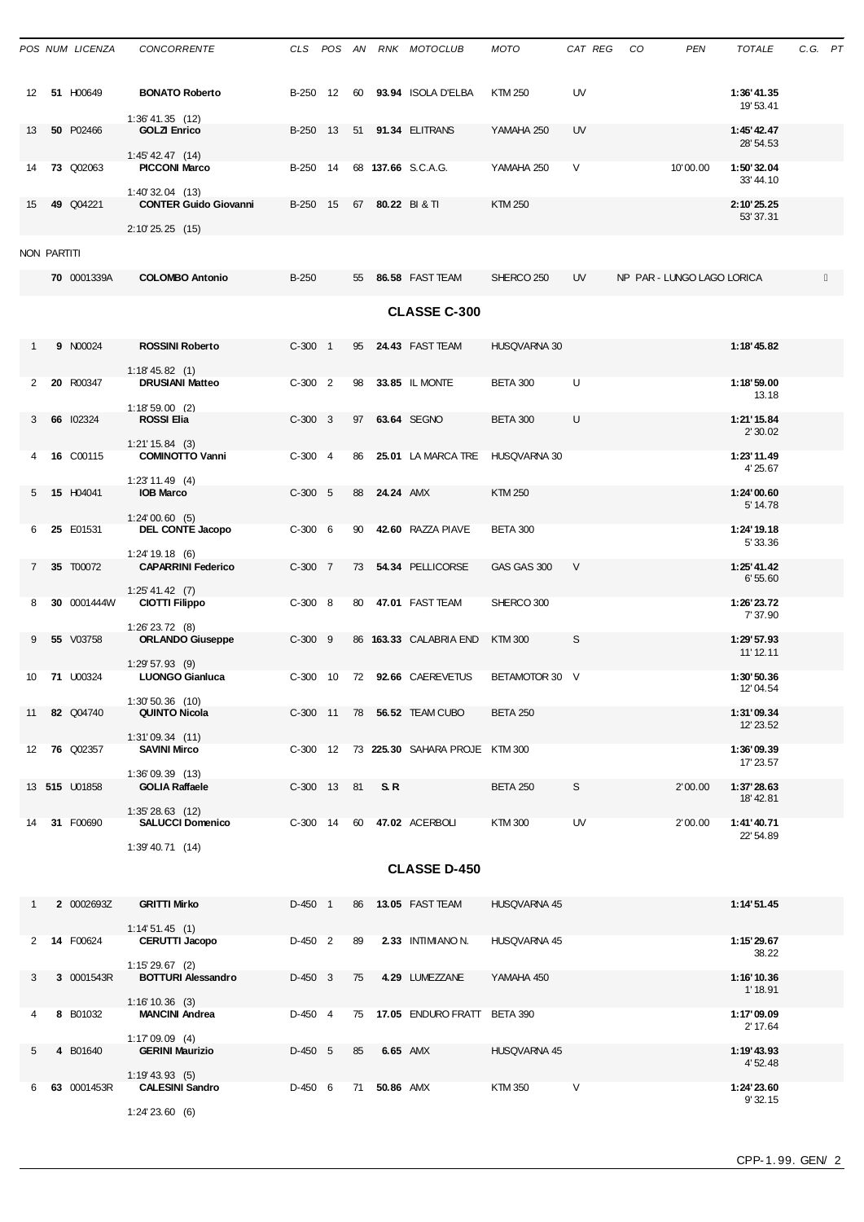|                       |                                             | POS NUM LICENZA  | <b>CONCORRENTE</b>                                |             |  |    |              | CLS POS AN RNK MOTOCLUB                 | MOTO                | CAT REG | CO | <b>PEN</b>                 | <b>TOTALE</b>            | C.G. PT |  |
|-----------------------|---------------------------------------------|------------------|---------------------------------------------------|-------------|--|----|--------------|-----------------------------------------|---------------------|---------|----|----------------------------|--------------------------|---------|--|
| 12                    |                                             | 51 H00649        | <b>BONATO Roberto</b>                             |             |  |    |              | B-250 12 60 93.94 ISOLA D'ELBA          | <b>KTM 250</b>      | UV      |    |                            | 1:36' 41.35<br>19' 53.41 |         |  |
| 13                    |                                             | 50 P02466        | $1:36' 41.35$ (12)<br><b>GOLZI Enrico</b>         | B-250 13    |  | 51 |              | 91.34 ELITRANS                          | YAMAHA 250          | UV      |    |                            | 1:45' 42.47<br>28' 54.53 |         |  |
| 14                    |                                             | <b>73 Q02063</b> | $1:45'$ 42.47 $(14)$<br><b>PICCONI Marco</b>      | B-250 14    |  |    |              | 68 137.66 S.C.A.G.                      | YAMAHA 250          | $\vee$  |    | 10'00.00                   | 1:50'32.04<br>33'44.10   |         |  |
| 15                    |                                             | 49 Q04221        | $1:40'32.04$ (13)<br><b>CONTER Guido Giovanni</b> | B-250 15    |  |    |              | 67 80.22 BI&TI                          | <b>KTM 250</b>      |         |    |                            | 2:10'25.25<br>53' 37.31  |         |  |
| <b>NON PARTITI</b>    |                                             |                  | 2:10'25.25(15)                                    |             |  |    |              |                                         |                     |         |    |                            |                          |         |  |
|                       |                                             | 70 0001339A      | <b>COLOMBO Antonio</b>                            | $B-250$     |  | 55 |              | 86.58 FAST TEAM                         | SHERCO 250          | UV      |    | NP PAR - LUNGO LAGO LORICA |                          |         |  |
|                       | <b>CLASSE C-300</b>                         |                  |                                                   |             |  |    |              |                                         |                     |         |    |                            |                          |         |  |
| 1                     |                                             | 9 N00024         | <b>ROSSINI Roberto</b>                            | $C-300$ 1   |  | 95 |              | 24.43 FAST TEAM                         | HUSQVARNA 30        |         |    |                            | 1:18'45.82               |         |  |
| $\mathbf{2}^{\prime}$ |                                             | 20 R00347        | $1:18' 45.82$ (1)<br><b>DRUSIANI Matteo</b>       | $C-300$ 2   |  | 98 |              | 33.85 IL MONTE                          | <b>BETA 300</b>     | U       |    |                            | 1:18'59.00<br>13.18      |         |  |
| 3                     |                                             | 66 102324        | $1:18'59.00$ (2)<br><b>ROSSI Elia</b>             | $C-300$ 3   |  | 97 |              | 63.64 SEGNO                             | <b>BETA 300</b>     | U       |    |                            | 1:21'15.84<br>2' 30.02   |         |  |
| 4                     |                                             | 16 C00115        | $1:21' 15.84$ (3)<br><b>COMINOTTO Vanni</b>       | $C-300$ 4   |  | 86 |              | 25.01 LA MARCA TRE                      | HUSQVARNA 30        |         |    |                            | 1:23'11.49<br>4'25.67    |         |  |
| 5                     |                                             | 15 H04041        | $1:23'$ 11.49 (4)<br><b>IOB Marco</b>             | $C-300$ 5   |  | 88 | 24.24 AMX    |                                         | <b>KTM 250</b>      |         |    |                            | 1:24'00.60<br>5' 14.78   |         |  |
| 6                     |                                             | 25 E01531        | 1:24'00.60(5)<br>DEL CONTE Jacopo                 | $C-300$ 6   |  | 90 |              | 42.60 RAZZA PIAVE                       | <b>BETA 300</b>     |         |    |                            | 1:24' 19.18<br>5' 33.36  |         |  |
| $\overline{7}$        |                                             | 35 T00072        | $1:24'$ 19.18 (6)<br><b>CAPARRINI Federico</b>    | $C-300$ 7   |  | 73 |              | 54.34 PELLICORSE                        | GAS GAS 300         | $\vee$  |    |                            | 1:25' 41.42<br>6'55.60   |         |  |
| 8                     |                                             | 30 0001444W      | 1:25' 41.42 (7)<br><b>CIOTTI Filippo</b>          | $C-300$ 8   |  | 80 |              | 47.01 FAST TEAM                         | SHERCO 300          |         |    |                            | 1:26'23.72<br>7' 37.90   |         |  |
| 9                     |                                             | 55 V03758        | $1:26'$ 23.72 (8)<br><b>ORLANDO Giuseppe</b>      | $C-300$ 9   |  |    |              | 86 163.33 CALABRIA END                  | <b>KTM300</b>       | S       |    |                            | 1:29' 57.93<br>11' 12.11 |         |  |
| 10                    |                                             | <b>71 U00324</b> | $1:29'57.93$ (9)<br><b>LUONGO Gianluca</b>        |             |  |    |              | C-300 10 72 92.66 CAEREVETUS            | BETAMOTOR 30 V      |         |    |                            | 1:30'50.36<br>12'04.54   |         |  |
| 11                    |                                             | 82 Q04740        | $1:30'50.36$ (10)<br><b>QUINTO Nicola</b>         |             |  |    |              | C-300 11 78 56.52 TEAM CUBO             | <b>BETA 250</b>     |         |    |                            | 1:31'09.34<br>12' 23.52  |         |  |
|                       |                                             | 12 76 Q02357     | 1:31'09.34(11)<br><b>SAVINI Mirco</b>             |             |  |    |              | C-300 12 73 225.30 SAHARA PROJE KTM 300 |                     |         |    |                            | 1:36'09.39<br>17' 23.57  |         |  |
|                       |                                             | 13 515 U01858    | 1:36'09.39 (13)<br><b>GOLIA Raffaele</b>          | C-300 13 81 |  |    | S.R          |                                         | <b>BETA 250</b>     | S       |    | 2'00.00                    | 1:37' 28.63<br>18' 42.81 |         |  |
| 14                    |                                             | 31 F00690        | $1:35'28.63$ (12)<br><b>SALUCCI Domenico</b>      |             |  |    |              | C-300 14 60 47.02 ACERBOLI              | <b>KTM300</b>       | UV      |    | 2'00.00                    | 1:41'40.71<br>22' 54.89  |         |  |
|                       | $1:39'$ 40.71 $(14)$<br><b>CLASSE D-450</b> |                  |                                                   |             |  |    |              |                                         |                     |         |    |                            |                          |         |  |
| $\mathbf{1}$          |                                             | 2 0002693Z       | <b>GRITTI Mirko</b>                               | D-450 1     |  |    |              | 86 13.05 FAST TEAM                      | <b>HUSQVARNA 45</b> |         |    |                            | 1:14'51.45               |         |  |
| $\overline{2}$        |                                             | 14 F00624        | 1:14'51.45(1)<br><b>CERUTTI Jacopo</b>            | $D-450$ 2   |  | 89 |              | 2.33 INTIMIANO N.                       | HUSQVARNA 45        |         |    |                            | 1:15'29.67               |         |  |
| 3                     |                                             | 3 0001543R       | $1:15'29.67$ (2)<br><b>BOTTURI Alessandro</b>     | $D-450$ 3   |  | 75 |              | 4.29 LUMEZZANE                          | YAMAHA 450          |         |    |                            | 38.22<br>1:16'10.36      |         |  |
| 4                     |                                             | 8 B01032         | $1:16'10.36$ (3)<br><b>MANCINI Andrea</b>         | D-450 4     |  |    |              | 75 17.05 ENDURO FRATT BETA 390          |                     |         |    |                            | 1'18.91<br>1:17'09.09    |         |  |
| 5                     |                                             | 4 B01640         | $1:17'09.09$ (4)<br><b>GERINI Maurizio</b>        | $D-450$ 5   |  | 85 |              | <b>6.65 AMX</b>                         | HUSQVARNA 45        |         |    |                            | 2' 17.64<br>1:19'43.93   |         |  |
| 6                     |                                             | 63 0001453R      | $1:19' 43.93$ (5)<br><b>CALESINI Sandro</b>       | $D-450$ 6   |  |    | 71 50.86 AMX |                                         | KTM 350             | V       |    |                            | 4' 52.48<br>1:24'23.60   |         |  |
|                       |                                             |                  | 1:24'23.60(6)                                     |             |  |    |              |                                         |                     |         |    |                            | 9'32.15                  |         |  |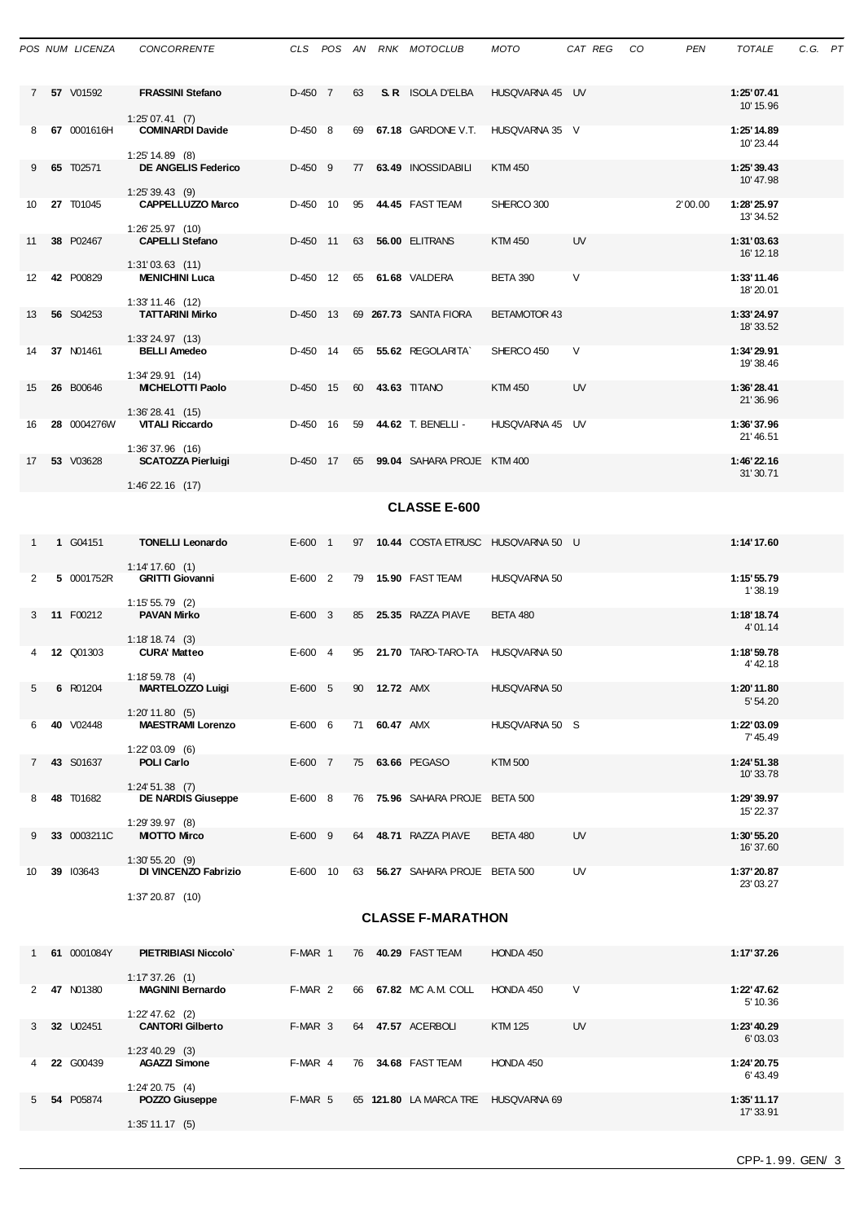|                          |                                             | POS NUM LICENZA  | <b>CONCORRENTE</b>                              |           |  |    |              | CLS POS AN RNK MOTOCLUB              | MOTO                | CAT REG CO |  | PEN     | <b>TOTALE</b>            | C.G. PT |  |
|--------------------------|---------------------------------------------|------------------|-------------------------------------------------|-----------|--|----|--------------|--------------------------------------|---------------------|------------|--|---------|--------------------------|---------|--|
|                          |                                             | 7 57 V01592      | <b>FRASSINI Stefano</b>                         | D-450 7   |  | 63 |              | <b>S. R.</b> ISOLA D'ELBA            | HUSQVARNA 45 UV     |            |  |         | 1:25'07.41<br>10' 15.96  |         |  |
| 8                        |                                             | 67 0001616H      | 1:25'07.41(7)<br><b>COMINARDI Davide</b>        | $D-450$ 8 |  |    |              | 69 67.18 GARDONE V.T.                | HUSQVARNA 35 V      |            |  |         | 1:25' 14.89<br>10'23.44  |         |  |
| 9                        |                                             | 65 T02571        | $1:25'$ 14.89 (8)<br><b>DE ANGELIS Federico</b> | $D-450$ 9 |  |    |              | 77 63.49 INOSSIDABILI                | <b>KTM 450</b>      |            |  |         | 1:25'39.43<br>10' 47.98  |         |  |
| 10                       |                                             | <b>27 T01045</b> | $1:25'39.43$ (9)<br><b>CAPPELLUZZO Marco</b>    | D-450 10  |  |    |              | 95 44.45 FAST TEAM                   | SHERCO 300          |            |  | 2'00.00 | 1:28' 25.97<br>13' 34.52 |         |  |
| 11                       |                                             | 38 P02467        | $1:26'$ 25.97 $(10)$<br><b>CAPELLI Stefano</b>  | D-450 11  |  | 63 |              | 56.00 ELITRANS                       | <b>KTM 450</b>      | UV         |  |         | 1:31'03.63<br>16' 12.18  |         |  |
| 12                       |                                             | 42 P00829        | $1:31'03.63$ (11)<br><b>MENICHINI Luca</b>      | D-450 12  |  |    |              | 65 61.68 VALDERA                     | <b>BETA 390</b>     | V          |  |         | 1:33'11.46<br>18'20.01   |         |  |
| 13                       |                                             | 56 S04253        | $1:33'$ 11.46 (12)<br><b>TATTARINI Mirko</b>    | D-450 13  |  |    |              | 69 267.73 SANTA FIORA                | <b>BETAMOTOR 43</b> |            |  |         | 1:33'24.97<br>18'33.52   |         |  |
| 14                       |                                             | 37 N01461        | 1:33'24.97(13)<br><b>BELLI Amedeo</b>           | D-450 14  |  | 65 |              | 55.62 REGOLARITA`                    | SHERCO 450          | V          |  |         | 1:34'29.91<br>19'38.46   |         |  |
| 15                       |                                             | 26 B00646        | $1:34'29.91$ (14)<br><b>MICHELOTTI Paolo</b>    | D-450 15  |  | 60 |              | 43.63 TITANO                         | <b>KTM 450</b>      | UV         |  |         | 1:36'28.41<br>21'36.96   |         |  |
| 16                       |                                             | 28 0004276W      | 1:36'28.41(15)<br><b>VITALI Riccardo</b>        | D-450 16  |  | 59 |              | 44.62 T. BENELLI -                   | HUSQVARNA 45 UV     |            |  |         | 1:36'37.96<br>21'46.51   |         |  |
| 17                       |                                             | 53 V03628        | $1:36'37.96$ (16)<br><b>SCATOZZA Pierluigi</b>  | D-450 17  |  |    |              | 65 99.04 SAHARA PROJE KTM 400        |                     |            |  |         | 1:46'22.16<br>31'30.71   |         |  |
|                          | $1:46'$ 22.16 $(17)$<br><b>CLASSE E-600</b> |                  |                                                 |           |  |    |              |                                      |                     |            |  |         |                          |         |  |
|                          |                                             |                  |                                                 |           |  |    |              |                                      |                     |            |  |         |                          |         |  |
| $\mathbf{1}$             |                                             | 1 G04151         | <b>TONELLI Leonardo</b><br>1:14' 17.60 (1)      | $E-600$ 1 |  |    |              | 97 10.44 COSTA ETRUSC HUSQVARNA 50 U |                     |            |  |         | 1:14' 17.60              |         |  |
| 2                        |                                             | 5 0001752R       | <b>GRITTI Giovanni</b><br>$1:15'55.79$ (2)      | $E-600$ 2 |  | 79 |              | <b>15.90 FAST TEAM</b>               | HUSQVARNA 50        |            |  |         | 1:15' 55.79<br>1'38.19   |         |  |
| 3                        |                                             | 11 F00212        | <b>PAVAN Mirko</b><br>1:18'18.74(3)             | $E-600$ 3 |  | 85 |              | 25.35 RAZZA PIAVE                    | <b>BETA 480</b>     |            |  |         | 1:18'18.74<br>4'01.14    |         |  |
| 4                        |                                             | <b>12 Q01303</b> | <b>CURA' Matteo</b><br>$1:18'59.78$ (4)         | $E-600$ 4 |  |    |              | 95 21.70 TARO-TARO-TA                | HUSQVARNA 50        |            |  |         | 1:18'59.78<br>4' 42.18   |         |  |
| 5                        |                                             | 6 R01204         | <b>MARTELOZZO Luigi</b>                         | $E-600$ 5 |  |    | 90 12.72 AMX |                                      | HUSQVARNA 50        |            |  |         | 1:20'11.80<br>5' 54.20   |         |  |
| 6                        |                                             | 40 V02448        | $1:20'$ 11.80 (5)<br><b>MAESTRAMI Lorenzo</b>   | $E-600$ 6 |  |    | 71 60.47 AMX |                                      | HUSQVARNA 50 S      |            |  |         | 1:22'03.09               |         |  |
| $7^{\circ}$              |                                             | 43 S01637        | $1:22'03.09$ (6)<br><b>POLI Carlo</b>           | E-600 7   |  |    |              | 75 63.66 PEGASO                      | KTM 500             |            |  |         | 7' 45.49<br>1:24'51.38   |         |  |
| 8                        |                                             | 48 T01682        | $1:24'51.38$ (7)<br><b>DE NARDIS Giuseppe</b>   | $E-600$ 8 |  |    |              | 76 75.96 SAHARA PROJE BETA 500       |                     |            |  |         | 10'33.78<br>1:29'39.97   |         |  |
|                          |                                             |                  | 1:29'39.97(8)                                   |           |  |    |              |                                      |                     |            |  |         | 15' 22.37                |         |  |
| 9                        |                                             | 33 0003211C      | <b>MIOTTO Mirco</b><br>1:30'55.20(9)            | $E-600$ 9 |  | 64 |              | 48.71 RAZZA PIAVE                    | <b>BETA 480</b>     | UV         |  |         | 1:30'55.20<br>16'37.60   |         |  |
| 10                       |                                             | 39 103643        | DI VINCENZO Fabrizio<br>$1:37'20.87$ (10)       | E-600 10  |  |    |              | 63 56.27 SAHARA PROJE BETA 500       |                     | UV         |  |         | 1:37' 20.87<br>23' 03.27 |         |  |
| <b>CLASSE F-MARATHON</b> |                                             |                  |                                                 |           |  |    |              |                                      |                     |            |  |         |                          |         |  |
| 1                        |                                             | 61 0001084Y      | PIETRIBIASI Niccolo                             | F-MAR 1   |  |    |              | 76 40.29 FAST TEAM                   | HONDA 450           |            |  |         | 1:17' 37.26              |         |  |
| 2                        |                                             | 47 N01380        | $1:17'37.26$ (1)<br><b>MAGNINI Bernardo</b>     | F-MAR 2   |  |    |              | 66 67.82 MC A.M. COLL                | HONDA 450           | V          |  |         | 1:22' 47.62<br>5' 10.36  |         |  |
| 3                        |                                             | 32 U02451        | $1:22' 47.62$ (2)<br><b>CANTORI Gilberto</b>    | F-MAR 3   |  |    |              | 64 47.57 ACERBOLI                    | <b>KTM 125</b>      | UV         |  |         | 1:23' 40.29<br>6'03.03   |         |  |
| 4                        |                                             | 22 G00439        | $1:23'$ 40.29 (3)<br><b>AGAZZI Simone</b>       | F-MAR 4   |  |    |              | 76 34.68 FAST TEAM                   | HONDA 450           |            |  |         | 1:24'20.75               |         |  |
| 5                        |                                             | 54 P05874        | $1:24'20.75$ (4)<br>POZZO Giuseppe              | F-MAR 5   |  |    |              | 65 121.80 LA MARCA TRE HUSQVARNA 69  |                     |            |  |         | 6' 43.49<br>1:35' 11.17  |         |  |
|                          |                                             |                  | 1:35'11.17(5)                                   |           |  |    |              |                                      |                     |            |  |         | 17' 33.91                |         |  |
|                          |                                             |                  |                                                 |           |  |    |              |                                      |                     |            |  |         |                          |         |  |